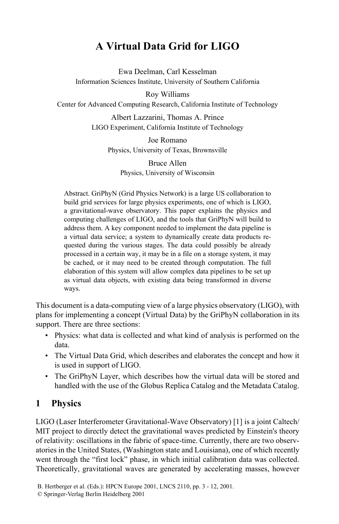# **A Virtual Data Grid for LIGO**

Ewa Deelman, Carl Kesselman Information Sciences Institute, University of Southern California

Roy Williams

Center for Advanced Computing Research, California Institute of Technology

Albert Lazzarini, Thomas A. Prince LIGO Experiment, California Institute of Technology

> Joe Romano Physics, University of Texas, Brownsville

> > Bruce Allen Physics, University of Wisconsin

Abstract. GriPhyN (Grid Physics Network) is a large US collaboration to build grid services for large physics experiments, one of which is LIGO, a gravitational-wave observatory. This paper explains the physics and computing challenges of LIGO, and the tools that GriPhyN will build to address them. A key component needed to implement the data pipeline is a virtual data service; a system to dynamically create data products requested during the various stages. The data could possibly be already processed in a certain way, it may be in a file on a storage system, it may be cached, or it may need to be created through computation. The full elaboration of this system will allow complex data pipelines to be set up as virtual data objects, with existing data being transformed in diverse ways.

This document is a data-computing view of a large physics observatory (LIGO), with plans for implementing a concept (Virtual Data) by the GriPhyN collaboration in its support. There are three sections:

- Physics: what data is collected and what kind of analysis is performed on the data.
- The Virtual Data Grid, which describes and elaborates the concept and how it is used in support of LIGO.
- The GriPhyN Layer, which describes how the virtual data will be stored and handled with the use of the Globus Replica Catalog and the Metadata Catalog.

# **1 Physics**

LIGO (Laser Interferometer Gravitational-Wave Observatory) [1] is a joint Caltech/ MIT project to directly detect the gravitational waves predicted by Einstein's theory of relativity: oscillations in the fabric of space-time. Currently, there are two observatories in the United States, (Washington state and Louisiana), one of which recently went through the "first lock" phase, in which initial calibration data was collected. Theoretically, gravitational waves are generated by accelerating masses, however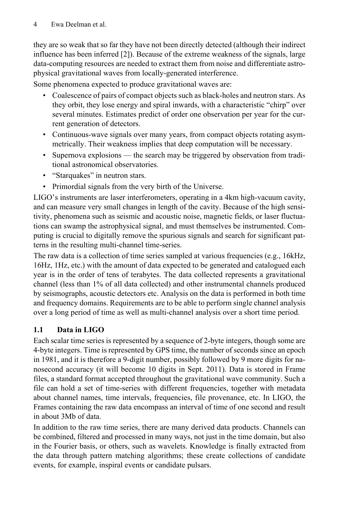they are so weak that so far they have not been directly detected (although their indirect influence has been inferred [2]). Because of the extreme weakness of the signals, large data-computing resources are needed to extract them from noise and differentiate astrophysical gravitational waves from locally-generated interference.

Some phenomena expected to produce gravitational waves are:

- Coalescence of pairs of compact objects such as black-holes and neutron stars. As they orbit, they lose energy and spiral inwards, with a characteristic "chirp" over several minutes. Estimates predict of order one observation per year for the current generation of detectors.
- Continuous-wave signals over many years, from compact objects rotating asymmetrically. Their weakness implies that deep computation will be necessary.
- Supernova explosions the search may be triggered by observation from traditional astronomical observatories.
- "Starquakes" in neutron stars.
- Primordial signals from the very birth of the Universe.

LIGO's instruments are laser interferometers, operating in a 4km high-vacuum cavity, and can measure very small changes in length of the cavity. Because of the high sensitivity, phenomena such as seismic and acoustic noise, magnetic fields, or laser fluctuations can swamp the astrophysical signal, and must themselves be instrumented. Computing is crucial to digitally remove the spurious signals and search for significant patterns in the resulting multi-channel time-series.

The raw data is a collection of time series sampled at various frequencies (e.g., 16kHz, 16Hz, 1Hz, etc.) with the amount of data expected to be generated and catalogued each year is in the order of tens of terabytes. The data collected represents a gravitational channel (less than 1% of all data collected) and other instrumental channels produced by seismographs, acoustic detectors etc. Analysis on the data is performed in both time and frequency domains. Requirements are to be able to perform single channel analysis over a long period of time as well as multi-channel analysis over a short time period.

#### **1.1 Data in LIGO**

Each scalar time series is represented by a sequence of 2-byte integers, though some are 4-byte integers. Time is represented by GPS time, the number of seconds since an epoch in 1981, and it is therefore a 9-digit number, possibly followed by 9 more digits for nanosecond accuracy (it will become 10 digits in Sept. 2011). Data is stored in Frame files, a standard format accepted throughout the gravitational wave community. Such a file can hold a set of time-series with different frequencies, together with metadata about channel names, time intervals, frequencies, file provenance, etc. In LIGO, the Frames containing the raw data encompass an interval of time of one second and result in about 3Mb of data.

In addition to the raw time series, there are many derived data products. Channels can be combined, filtered and processed in many ways, not just in the time domain, but also in the Fourier basis, or others, such as wavelets. Knowledge is finally extracted from the data through pattern matching algorithms; these create collections of candidate events, for example, inspiral events or candidate pulsars.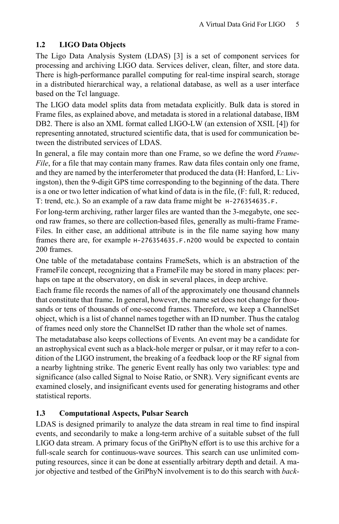#### **1.2 LIGO Data Objects**

The Ligo Data Analysis System (LDAS) [3] is a set of component services for processing and archiving LIGO data. Services deliver, clean, filter, and store data. There is high-performance parallel computing for real-time inspiral search, storage in a distributed hierarchical way, a relational database, as well as a user interface based on the Tcl language.

The LIGO data model splits data from metadata explicitly. Bulk data is stored in Frame files, as explained above, and metadata is stored in a relational database, IBM DB2. There is also an XML format called LIGO-LW (an extension of XSIL [4]) for representing annotated, structured scientific data, that is used for communication between the distributed services of LDAS.

In general, a file may contain more than one Frame, so we define the word *Frame-File*, for a file that may contain many frames. Raw data files contain only one frame, and they are named by the interferometer that produced the data (H: Hanford, L: Livingston), then the 9-digit GPS time corresponding to the beginning of the data. There is a one or two letter indication of what kind of data is in the file, (F: full, R: reduced, T: trend, etc.). So an example of a raw data frame might be H-276354635.F.

For long-term archiving, rather larger files are wanted than the 3-megabyte, one second raw frames, so there are collection-based files, generally as multi-frame Frame-Files. In either case, an additional attribute is in the file name saying how many frames there are, for example H-276354635.F.n200 would be expected to contain 200 frames.

One table of the metadatabase contains FrameSets, which is an abstraction of the FrameFile concept, recognizing that a FrameFile may be stored in many places: perhaps on tape at the observatory, on disk in several places, in deep archive.

Each frame file records the names of all of the approximately one thousand channels that constitute that frame. In general, however, the name set does not change for thousands or tens of thousands of one-second frames. Therefore, we keep a ChannelSet object, which is a list of channel names together with an ID number. Thus the catalog of frames need only store the ChannelSet ID rather than the whole set of names.

The metadatabase also keeps collections of Events. An event may be a candidate for an astrophysical event such as a black-hole merger or pulsar, or it may refer to a condition of the LIGO instrument, the breaking of a feedback loop or the RF signal from a nearby lightning strike. The generic Event really has only two variables: type and significance (also called Signal to Noise Ratio, or SNR). Very significant events are examined closely, and insignificant events used for generating histograms and other statistical reports.

# **1.3 Computational Aspects, Pulsar Search**

LDAS is designed primarily to analyze the data stream in real time to find inspiral events, and secondarily to make a long-term archive of a suitable subset of the full LIGO data stream. A primary focus of the GriPhyN effort is to use this archive for a full-scale search for continuous-wave sources. This search can use unlimited computing resources, since it can be done at essentially arbitrary depth and detail. A major objective and testbed of the GriPhyN involvement is to do this search with *back-*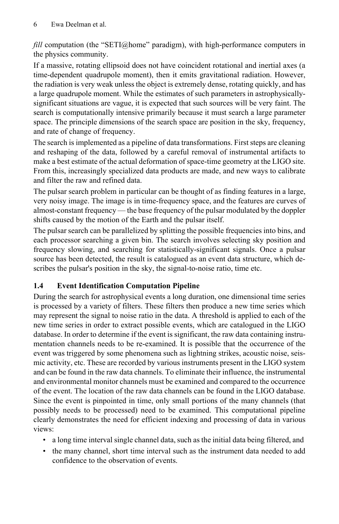*fill* computation (the "SETI@home" paradigm), with high-performance computers in the physics community.

If a massive, rotating ellipsoid does not have coincident rotational and inertial axes (a time-dependent quadrupole moment), then it emits gravitational radiation. However, the radiation is very weak unless the object is extremely dense, rotating quickly, and has a large quadrupole moment. While the estimates of such parameters in astrophysicallysignificant situations are vague, it is expected that such sources will be very faint. The search is computationally intensive primarily because it must search a large parameter space. The principle dimensions of the search space are position in the sky, frequency, and rate of change of frequency.

The search is implemented as a pipeline of data transformations. First steps are cleaning and reshaping of the data, followed by a careful removal of instrumental artifacts to make a best estimate of the actual deformation of space-time geometry at the LIGO site. From this, increasingly specialized data products are made, and new ways to calibrate and filter the raw and refined data.

The pulsar search problem in particular can be thought of as finding features in a large, very noisy image. The image is in time-frequency space, and the features are curves of almost-constant frequency — the base frequency of the pulsar modulated by the doppler shifts caused by the motion of the Earth and the pulsar itself.

The pulsar search can be parallelized by splitting the possible frequencies into bins, and each processor searching a given bin. The search involves selecting sky position and frequency slowing, and searching for statistically-significant signals. Once a pulsar source has been detected, the result is catalogued as an event data structure, which describes the pulsar's position in the sky, the signal-to-noise ratio, time etc.

#### **1.4 Event Identification Computation Pipeline**

During the search for astrophysical events a long duration, one dimensional time series is processed by a variety of filters. These filters then produce a new time series which may represent the signal to noise ratio in the data. A threshold is applied to each of the new time series in order to extract possible events, which are catalogued in the LIGO database. In order to determine if the event is significant, the raw data containing instrumentation channels needs to be re-examined. It is possible that the occurrence of the event was triggered by some phenomena such as lightning strikes, acoustic noise, seismic activity, etc. These are recorded by various instruments present in the LIGO system and can be found in the raw data channels. To eliminate their influence, the instrumental and environmental monitor channels must be examined and compared to the occurrence of the event. The location of the raw data channels can be found in the LIGO database. Since the event is pinpointed in time, only small portions of the many channels (that possibly needs to be processed) need to be examined. This computational pipeline clearly demonstrates the need for efficient indexing and processing of data in various views:

- a long time interval single channel data, such as the initial data being filtered, and
- the many channel, short time interval such as the instrument data needed to add confidence to the observation of events.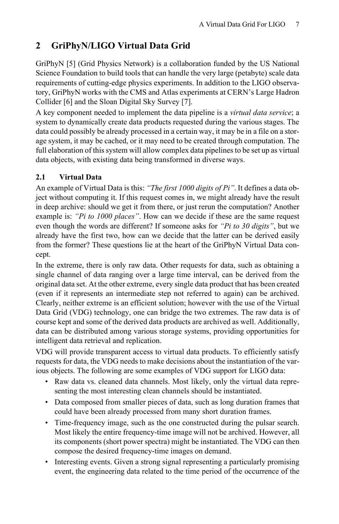# **2 GriPhyN/LIGO Virtual Data Grid**

GriPhyN [5] (Grid Physics Network) is a collaboration funded by the US National Science Foundation to build tools that can handle the very large (petabyte) scale data requirements of cutting-edge physics experiments. In addition to the LIGO observatory, GriPhyN works with the CMS and Atlas experiments at CERN's Large Hadron Collider [6] and the Sloan Digital Sky Survey [7].

A key component needed to implement the data pipeline is a *virtual data service*; a system to dynamically create data products requested during the various stages. The data could possibly be already processed in a certain way, it may be in a file on a storage system, it may be cached, or it may need to be created through computation. The full elaboration of this system will allow complex data pipelines to be set up as virtual data objects, with existing data being transformed in diverse ways.

#### **2.1 Virtual Data**

An example of Virtual Data is this: *"The first 1000 digits of Pi"*. It defines a data object without computing it. If this request comes in, we might already have the result in deep archive: should we get it from there, or just rerun the computation? Another example is: *"Pi to 1000 places"*. How can we decide if these are the same request even though the words are different? If someone asks for *"Pi to 30 digits"*, but we already have the first two, how can we decide that the latter can be derived easily from the former? These questions lie at the heart of the GriPhyN Virtual Data concept.

In the extreme, there is only raw data. Other requests for data, such as obtaining a single channel of data ranging over a large time interval, can be derived from the original data set. At the other extreme, every single data product that has been created (even if it represents an intermediate step not referred to again) can be archived. Clearly, neither extreme is an efficient solution; however with the use of the Virtual Data Grid (VDG) technology, one can bridge the two extremes. The raw data is of course kept and some of the derived data products are archived as well. Additionally, data can be distributed among various storage systems, providing opportunities for intelligent data retrieval and replication.

VDG will provide transparent access to virtual data products. To efficiently satisfy requests for data, the VDG needs to make decisions about the instantiation of the various objects. The following are some examples of VDG support for LIGO data:

- Raw data vs. cleaned data channels. Most likely, only the virtual data representing the most interesting clean channels should be instantiated.
- Data composed from smaller pieces of data, such as long duration frames that could have been already processed from many short duration frames.
- Time-frequency image, such as the one constructed during the pulsar search. Most likely the entire frequency-time image will not be archived. However, all its components (short power spectra) might be instantiated. The VDG can then compose the desired frequency-time images on demand.
- Interesting events. Given a strong signal representing a particularly promising event, the engineering data related to the time period of the occurrence of the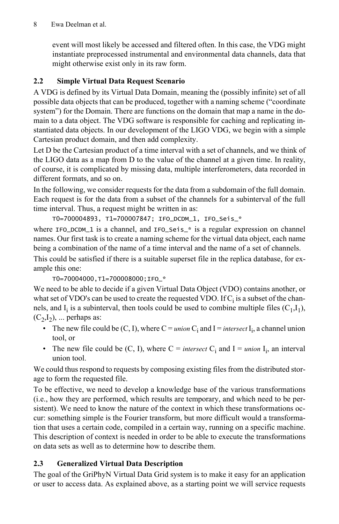event will most likely be accessed and filtered often. In this case, the VDG might instantiate preprocessed instrumental and environmental data channels, data that might otherwise exist only in its raw form.

### **2.2 Simple Virtual Data Request Scenario**

A VDG is defined by its Virtual Data Domain, meaning the (possibly infinite) set of all possible data objects that can be produced, together with a naming scheme ("coordinate system") for the Domain. There are functions on the domain that map a name in the domain to a data object. The VDG software is responsible for caching and replicating instantiated data objects. In our development of the LIGO VDG, we begin with a simple Cartesian product domain, and then add complexity.

Let D be the Cartesian product of a time interval with a set of channels, and we think of the LIGO data as a map from D to the value of the channel at a given time. In reality, of course, it is complicated by missing data, multiple interferometers, data recorded in different formats, and so on.

In the following, we consider requests for the data from a subdomain of the full domain. Each request is for the data from a subset of the channels for a subinterval of the full time interval. Thus, a request might be written in as:

T0=700004893, T1=700007847; IFO\_DCDM\_1, IFO\_Seis\_\*

where IFO\_DCDM\_1 is a channel, and IFO\_Seis\_\* is a regular expression on channel names. Our first task is to create a naming scheme for the virtual data object, each name being a combination of the name of a time interval and the name of a set of channels.

This could be satisfied if there is a suitable superset file in the replica database, for example this one:

T0=70004000,T1=700008000;IFO\_\*

We need to be able to decide if a given Virtual Data Object (VDO) contains another, or what set of VDO's can be used to create the requested VDO. If  $C_i$  is a subset of the channels, and  $I_i$  is a subinterval, then tools could be used to combine multiple files  $(C_1, I_1)$ ,  $(C_2,I_2)$ , ... perhaps as:

- The new file could be  $(C, I)$ , where  $C = union C_i$  and  $I = intersect I_i$ , a channel union tool, or
- The new file could be  $(C, I)$ , where  $C =$  *intersect*  $C_i$  and  $I =$  *union*  $I_i$ , an interval union tool.

We could thus respond to requests by composing existing files from the distributed storage to form the requested file.

To be effective, we need to develop a knowledge base of the various transformations (i.e., how they are performed, which results are temporary, and which need to be persistent). We need to know the nature of the context in which these transformations occur: something simple is the Fourier transform, but more difficult would a transformation that uses a certain code, compiled in a certain way, running on a specific machine. This description of context is needed in order to be able to execute the transformations on data sets as well as to determine how to describe them.

# **2.3 Generalized Virtual Data Description**

The goal of the GriPhyN Virtual Data Grid system is to make it easy for an application or user to access data. As explained above, as a starting point we will service requests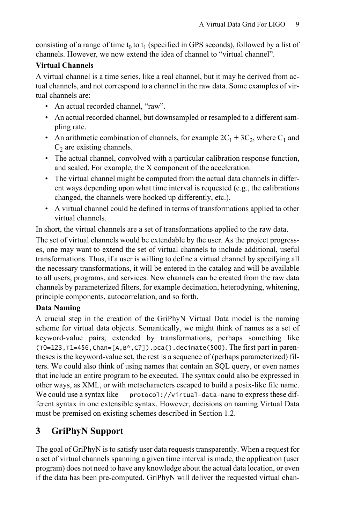consisting of a range of time  $t_0$  to  $t_1$  (specified in GPS seconds), followed by a list of channels. However, we now extend the idea of channel to "virtual channel".

#### **Virtual Channels**

A virtual channel is a time series, like a real channel, but it may be derived from actual channels, and not correspond to a channel in the raw data. Some examples of virtual channels are:

- An actual recorded channel, "raw".
- An actual recorded channel, but downsampled or resampled to a different sampling rate.
- An arithmetic combination of channels, for example  $2C_1 + 3C_2$ , where  $C_1$  and  $C<sub>2</sub>$  are existing channels.
- The actual channel, convolved with a particular calibration response function, and scaled. For example, the X component of the acceleration.
- The virtual channel might be computed from the actual data channels in different ways depending upon what time interval is requested (e.g., the calibrations changed, the channels were hooked up differently, etc.).
- A virtual channel could be defined in terms of transformations applied to other virtual channels.

In short, the virtual channels are a set of transformations applied to the raw data.

The set of virtual channels would be extendable by the user. As the project progresses, one may want to extend the set of virtual channels to include additional, useful transformations. Thus, if a user is willing to define a virtual channel by specifying all the necessary transformations, it will be entered in the catalog and will be available to all users, programs, and services. New channels can be created from the raw data channels by parameterized filters, for example decimation, heterodyning, whitening, principle components, autocorrelation, and so forth.

#### **Data Naming**

A crucial step in the creation of the GriPhyN Virtual Data model is the naming scheme for virtual data objects. Semantically, we might think of names as a set of keyword-value pairs, extended by transformations, perhaps something like  $(T0=123, T1=456, Chan=[A,B*,C?)$ . pca().decimate(500). The first part in parentheses is the keyword-value set, the rest is a sequence of (perhaps parameterized) filters. We could also think of using names that contain an SQL query, or even names that include an entire program to be executed. The syntax could also be expressed in other ways, as XML, or with metacharacters escaped to build a posix-like file name. We could use a syntax like protocol://virtual-data-name to express these different syntax in one extensible syntax. However, decisions on naming Virtual Data must be premised on existing schemes described in Section 1.2.

# **3 GriPhyN Support**

The goal of GriPhyN is to satisfy user data requests transparently. When a request for a set of virtual channels spanning a given time interval is made, the application (user program) does not need to have any knowledge about the actual data location, or even if the data has been pre-computed. GriPhyN will deliver the requested virtual chan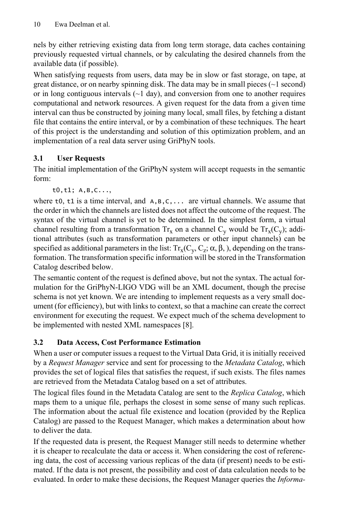nels by either retrieving existing data from long term storage, data caches containing previously requested virtual channels, or by calculating the desired channels from the available data (if possible).

When satisfying requests from users, data may be in slow or fast storage, on tape, at great distance, or on nearby spinning disk. The data may be in small pieces  $(\sim]$  second) or in long contiguous intervals  $(\sim 1 \text{ day})$ , and conversion from one to another requires computational and network resources. A given request for the data from a given time interval can thus be constructed by joining many local, small files, by fetching a distant file that contains the entire interval, or by a combination of these techniques. The heart of this project is the understanding and solution of this optimization problem, and an implementation of a real data server using GriPhyN tools.

#### **3.1 User Requests**

The initial implementation of the GriPhyN system will accept requests in the semantic form:

t0,t1; A,B,C...,

where  $\texttt{t0}$ ,  $\texttt{t1}$  is a time interval, and  $\texttt{A}, \texttt{B}, \texttt{C}, \ldots$  are virtual channels. We assume that the order in which the channels are listed does not affect the outcome of the request. The syntax of the virtual channel is yet to be determined. In the simplest form, a virtual channel resulting from a transformation  $Tr_x$  on a channel  $C_v$  would be  $Tr_x(C_v)$ ; additional attributes (such as transformation parameters or other input channels) can be specified as additional parameters in the list:  $Tr_x(C_y, C_z; \alpha, \beta)$ , depending on the transformation. The transformation specific information will be stored in the Transformation Catalog described below.

The semantic content of the request is defined above, but not the syntax. The actual formulation for the GriPhyN-LIGO VDG will be an XML document, though the precise schema is not yet known. We are intending to implement requests as a very small document (for efficiency), but with links to context, so that a machine can create the correct environment for executing the request. We expect much of the schema development to be implemented with nested XML namespaces [8].

# **3.2 Data Access, Cost Performance Estimation**

When a user or computer issues a request to the Virtual Data Grid, it is initially received by a *Request Manager* service and sent for processing to the *Metadata Catalog*, which provides the set of logical files that satisfies the request, if such exists. The files names are retrieved from the Metadata Catalog based on a set of attributes.

The logical files found in the Metadata Catalog are sent to the *Replica Catalog*, which maps them to a unique file, perhaps the closest in some sense of many such replicas. The information about the actual file existence and location (provided by the Replica Catalog) are passed to the Request Manager, which makes a determination about how to deliver the data.

If the requested data is present, the Request Manager still needs to determine whether it is cheaper to recalculate the data or access it. When considering the cost of referencing data, the cost of accessing various replicas of the data (if present) needs to be estimated. If the data is not present, the possibility and cost of data calculation needs to be evaluated. In order to make these decisions, the Request Manager queries the *Informa-*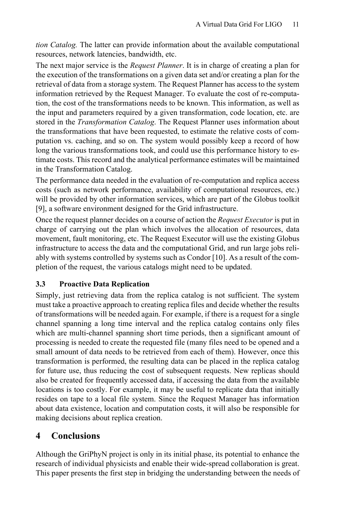*tion Catalog.* The latter can provide information about the available computational resources, network latencies, bandwidth, etc.

The next major service is the *Request Planner*. It is in charge of creating a plan for the execution of the transformations on a given data set and/or creating a plan for the retrieval of data from a storage system. The Request Planner has access to the system information retrieved by the Request Manager. To evaluate the cost of re-computation, the cost of the transformations needs to be known. This information, as well as the input and parameters required by a given transformation, code location, etc. are stored in the *Transformation Catalog*. The Request Planner uses information about the transformations that have been requested, to estimate the relative costs of computation vs. caching, and so on. The system would possibly keep a record of how long the various transformations took, and could use this performance history to estimate costs. This record and the analytical performance estimates will be maintained in the Transformation Catalog.

The performance data needed in the evaluation of re-computation and replica access costs (such as network performance, availability of computational resources, etc.) will be provided by other information services, which are part of the Globus toolkit [9], a software environment designed for the Grid infrastructure.

Once the request planner decides on a course of action the *Request Executor* is put in charge of carrying out the plan which involves the allocation of resources, data movement, fault monitoring, etc. The Request Executor will use the existing Globus infrastructure to access the data and the computational Grid, and run large jobs reliably with systems controlled by systems such as Condor [10]. As a result of the completion of the request, the various catalogs might need to be updated.

#### **3.3 Proactive Data Replication**

Simply, just retrieving data from the replica catalog is not sufficient. The system must take a proactive approach to creating replica files and decide whether the results of transformations will be needed again. For example, if there is a request for a single channel spanning a long time interval and the replica catalog contains only files which are multi-channel spanning short time periods, then a significant amount of processing is needed to create the requested file (many files need to be opened and a small amount of data needs to be retrieved from each of them). However, once this transformation is performed, the resulting data can be placed in the replica catalog for future use, thus reducing the cost of subsequent requests. New replicas should also be created for frequently accessed data, if accessing the data from the available locations is too costly. For example, it may be useful to replicate data that initially resides on tape to a local file system. Since the Request Manager has information about data existence, location and computation costs, it will also be responsible for making decisions about replica creation.

# **4 Conclusions**

Although the GriPhyN project is only in its initial phase, its potential to enhance the research of individual physicists and enable their wide-spread collaboration is great. This paper presents the first step in bridging the understanding between the needs of